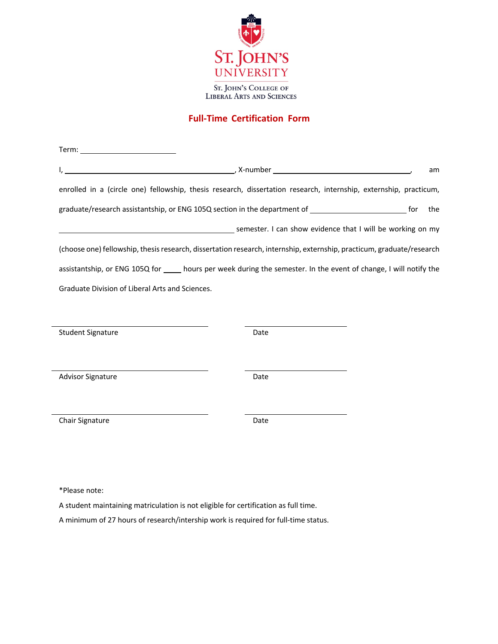

## **Full-Time Certification Form**

|                                                                                                     | <u>state of the contract of the contract of the contract of the contract of the contract of the contract of the co</u><br>am |  |
|-----------------------------------------------------------------------------------------------------|------------------------------------------------------------------------------------------------------------------------------|--|
|                                                                                                     | enrolled in a (circle one) fellowship, thesis research, dissertation research, internship, externship, practicum,            |  |
| graduate/research assistantship, or ENG 105Q section in the department of _________________________ | for<br>the                                                                                                                   |  |
|                                                                                                     | semester. I can show evidence that I will be working on my                                                                   |  |
|                                                                                                     | (choose one) fellowship, thesis research, dissertation research, internship, externship, practicum, graduate/research        |  |
|                                                                                                     | assistantship, or ENG 105Q for _____ hours per week during the semester. In the event of change, I will notify the           |  |
| Graduate Division of Liberal Arts and Sciences.                                                     |                                                                                                                              |  |
|                                                                                                     |                                                                                                                              |  |
| <b>Student Signature</b>                                                                            | Date                                                                                                                         |  |
|                                                                                                     |                                                                                                                              |  |
| <b>Advisor Signature</b>                                                                            | Date                                                                                                                         |  |
|                                                                                                     |                                                                                                                              |  |
| Chair Signature                                                                                     | Date                                                                                                                         |  |
|                                                                                                     |                                                                                                                              |  |

\*Please note:

 $\overline{a}$ 

A student maintaining matriculation is not eligible for certification as full time.

A minimum of 27 hours of research/intership work is required for full-time status.